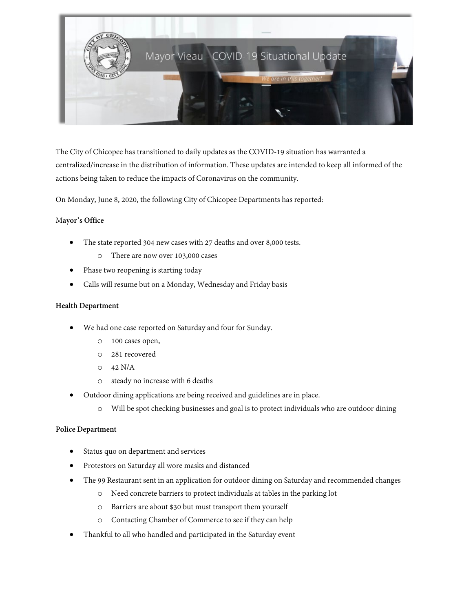

The City of Chicopee has transitioned to daily updates as the COVID-19 situation has warranted a centralized/increase in the distribution of information. These updates are intended to keep all informed of the actions being taken to reduce the impacts of Coronavirus on the community.

On Monday, June 8, 2020, the following City of Chicopee Departments has reported:

### M**ayor's Office**

- The state reported 304 new cases with 27 deaths and over 8,000 tests.
	- o There are now over 103,000 cases
- Phase two reopening is starting today
- Calls will resume but on a Monday, Wednesday and Friday basis

#### **Health Department**

- We had one case reported on Saturday and four for Sunday.
	- o 100 cases open,
	- o 281 recovered
	- o 42 N/A
	- o steady no increase with 6 deaths
- Outdoor dining applications are being received and guidelines are in place.
	- o Will be spot checking businesses and goal is to protect individuals who are outdoor dining

#### **Police Department**

- Status quo on department and services
- Protestors on Saturday all wore masks and distanced
- The 99 Restaurant sent in an application for outdoor dining on Saturday and recommended changes
	- o Need concrete barriers to protect individuals at tables in the parking lot
	- o Barriers are about \$30 but must transport them yourself
	- o Contacting Chamber of Commerce to see if they can help
- Thankful to all who handled and participated in the Saturday event